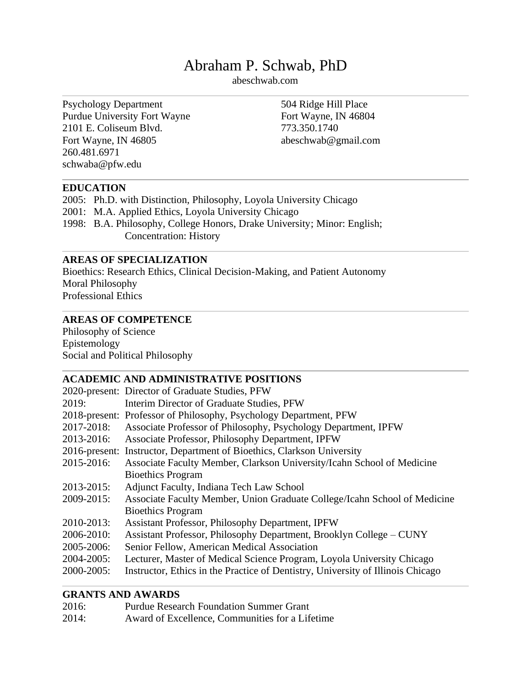# Abraham P. Schwab, PhD

abeschwab.com

Psychology Department Purdue University Fort Wayne 2101 E. Coliseum Blvd. Fort Wayne, IN 46805 260.481.6971 schwaba@pfw.edu

504 Ridge Hill Place Fort Wayne, IN 46804 773.350.1740 abeschwab@gmail.com

#### **EDUCATION**

2005: Ph.D. with Distinction, Philosophy, Loyola University Chicago 2001: M.A. Applied Ethics, Loyola University Chicago 1998: B.A. Philosophy, College Honors, Drake University; Minor: English; Concentration: History

## **AREAS OF SPECIALIZATION**

Bioethics: Research Ethics, Clinical Decision-Making, and Patient Autonomy Moral Philosophy Professional Ethics

## **AREAS OF COMPETENCE**

Philosophy of Science Epistemology Social and Political Philosophy

# **ACADEMIC AND ADMINISTRATIVE POSITIONS**

|            | 2020-present: Director of Graduate Studies, PFW                                 |
|------------|---------------------------------------------------------------------------------|
| 2019:      | Interim Director of Graduate Studies, PFW                                       |
|            | 2018-present: Professor of Philosophy, Psychology Department, PFW               |
| 2017-2018: | Associate Professor of Philosophy, Psychology Department, IPFW                  |
| 2013-2016: | Associate Professor, Philosophy Department, IPFW                                |
|            | 2016-present: Instructor, Department of Bioethics, Clarkson University          |
| 2015-2016: | Associate Faculty Member, Clarkson University/Icahn School of Medicine          |
|            | <b>Bioethics Program</b>                                                        |
| 2013-2015: | Adjunct Faculty, Indiana Tech Law School                                        |
| 2009-2015: | Associate Faculty Member, Union Graduate College/Icahn School of Medicine       |
|            | <b>Bioethics Program</b>                                                        |
| 2010-2013: | Assistant Professor, Philosophy Department, IPFW                                |
| 2006-2010: | Assistant Professor, Philosophy Department, Brooklyn College – CUNY             |
| 2005-2006: | Senior Fellow, American Medical Association                                     |
| 2004-2005: | Lecturer, Master of Medical Science Program, Loyola University Chicago          |
| 2000-2005: | Instructor, Ethics in the Practice of Dentistry, University of Illinois Chicago |
|            |                                                                                 |

# **GRANTS AND AWARDS**

| 2016: | <b>Purdue Research Foundation Summer Grant</b>  |
|-------|-------------------------------------------------|
| 2014: | Award of Excellence, Communities for a Lifetime |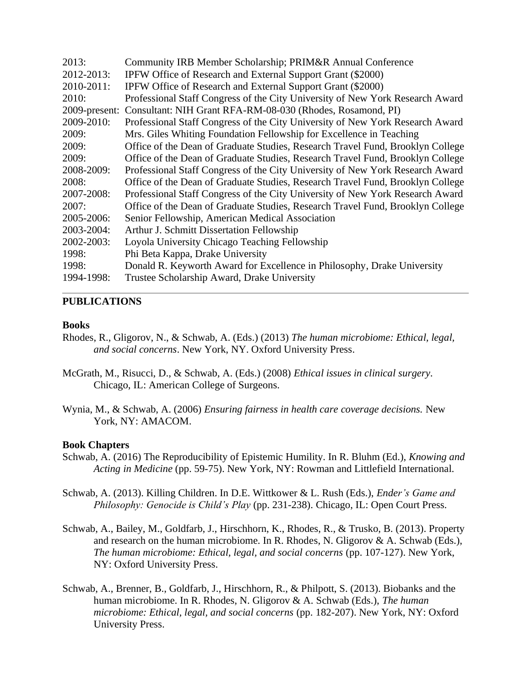| Community IRB Member Scholarship; PRIM&R Annual Conference                     |
|--------------------------------------------------------------------------------|
| IPFW Office of Research and External Support Grant (\$2000)                    |
| IPFW Office of Research and External Support Grant (\$2000)                    |
| Professional Staff Congress of the City University of New York Research Award  |
| 2009-present: Consultant: NIH Grant RFA-RM-08-030 (Rhodes, Rosamond, PI)       |
| Professional Staff Congress of the City University of New York Research Award  |
| Mrs. Giles Whiting Foundation Fellowship for Excellence in Teaching            |
| Office of the Dean of Graduate Studies, Research Travel Fund, Brooklyn College |
| Office of the Dean of Graduate Studies, Research Travel Fund, Brooklyn College |
| Professional Staff Congress of the City University of New York Research Award  |
| Office of the Dean of Graduate Studies, Research Travel Fund, Brooklyn College |
| Professional Staff Congress of the City University of New York Research Award  |
| Office of the Dean of Graduate Studies, Research Travel Fund, Brooklyn College |
| Senior Fellowship, American Medical Association                                |
| Arthur J. Schmitt Dissertation Fellowship                                      |
| Loyola University Chicago Teaching Fellowship                                  |
| Phi Beta Kappa, Drake University                                               |
| Donald R. Keyworth Award for Excellence in Philosophy, Drake University        |
| Trustee Scholarship Award, Drake University                                    |
|                                                                                |

#### **PUBLICATIONS**

#### **Books**

- Rhodes, R., Gligorov, N., & Schwab, A. (Eds.) (2013) *The human microbiome: Ethical, legal, and social concerns*. New York, NY. Oxford University Press.
- McGrath, M., Risucci, D., & Schwab, A. (Eds.) (2008) *Ethical issues in clinical surgery*. Chicago, IL: American College of Surgeons.
- Wynia, M., & Schwab, A. (2006) *Ensuring fairness in health care coverage decisions.* New York, NY: AMACOM.

#### **Book Chapters**

- Schwab, A. (2016) The Reproducibility of Epistemic Humility. In R. Bluhm (Ed.), *Knowing and Acting in Medicine* (pp. 59-75). New York, NY: Rowman and Littlefield International.
- Schwab, A. (2013). Killing Children. In D.E. Wittkower & L. Rush (Eds.), *Ender's Game and Philosophy: Genocide is Child's Play* (pp. 231-238). Chicago, IL: Open Court Press.
- Schwab, A., Bailey, M., Goldfarb, J., Hirschhorn, K., Rhodes, R., & Trusko, B. (2013). Property and research on the human microbiome. In R. Rhodes, N. Gligorov & A. Schwab (Eds.), *The human microbiome: Ethical, legal, and social concerns* (pp. 107-127). New York, NY: Oxford University Press.
- Schwab, A., Brenner, B., Goldfarb, J., Hirschhorn, R., & Philpott, S. (2013). Biobanks and the human microbiome. In R. Rhodes, N. Gligorov & A. Schwab (Eds.), *The human microbiome: Ethical, legal, and social concerns* (pp. 182-207). New York, NY: Oxford University Press.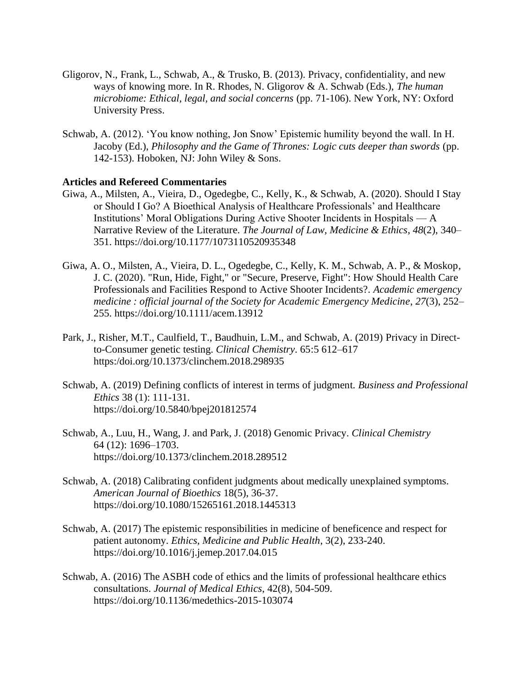- Gligorov, N., Frank, L., Schwab, A., & Trusko, B. (2013). Privacy, confidentiality, and new ways of knowing more. In R. Rhodes, N. Gligorov & A. Schwab (Eds.), *The human microbiome: Ethical, legal, and social concerns* (pp. 71-106). New York, NY: Oxford University Press.
- Schwab, A. (2012). 'You know nothing, Jon Snow' Epistemic humility beyond the wall. In H. Jacoby (Ed.), *Philosophy and the Game of Thrones: Logic cuts deeper than swords* (pp. 142-153). Hoboken, NJ: John Wiley & Sons.

#### **Articles and Refereed Commentaries**

- Giwa, A., Milsten, A., Vieira, D., Ogedegbe, C., Kelly, K., & Schwab, A. (2020). Should I Stay or Should I Go? A Bioethical Analysis of Healthcare Professionals' and Healthcare Institutions' Moral Obligations During Active Shooter Incidents in Hospitals — A Narrative Review of the Literature. *The Journal of Law, Medicine & Ethics*, *48*(2), 340– 351. https://doi.org/10.1177/1073110520935348
- Giwa, A. O., Milsten, A., Vieira, D. L., Ogedegbe, C., Kelly, K. M., Schwab, A. P., & Moskop, J. C. (2020). "Run, Hide, Fight," or "Secure, Preserve, Fight": How Should Health Care Professionals and Facilities Respond to Active Shooter Incidents?. *Academic emergency medicine : official journal of the Society for Academic Emergency Medicine*, *27*(3), 252– 255. https://doi.org/10.1111/acem.13912
- Park, J., Risher, M.T., Caulfield, T., Baudhuin, L.M., and Schwab, A. (2019) Privacy in Directto-Consumer genetic testing. *Clinical Chemistry*. 65:5 612–617 https:/doi.org/10.1373/clinchem.2018.298935
- Schwab, A. (2019) Defining conflicts of interest in terms of judgment. *Business and Professional Ethics* 38 (1): 111-131. https://doi.org/10.5840/bpej201812574
- Schwab, A., Luu, H., Wang, J. and Park, J. (2018) Genomic Privacy. *Clinical Chemistry* 64 (12): 1696–1703. https://doi.org/10.1373/clinchem.2018.289512
- Schwab, A. (2018) Calibrating confident judgments about medically unexplained symptoms. *American Journal of Bioethics* 18(5), 36-37. https://doi.org/10.1080/15265161.2018.1445313
- Schwab, A. (2017) The epistemic responsibilities in medicine of beneficence and respect for patient autonomy. *Ethics, Medicine and Public Health*, 3(2), 233-240. https://doi.org/10.1016/j.jemep.2017.04.015
- Schwab, A. (2016) The ASBH code of ethics and the limits of professional healthcare ethics consultations. *Journal of Medical Ethics*, 42(8), 504-509. https://doi.org/10.1136/medethics-2015-103074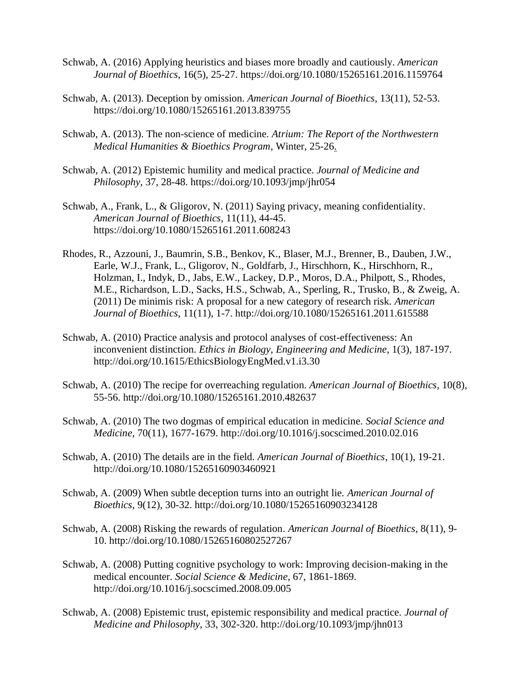- Schwab, A. (2016) Applying heuristics and biases more broadly and cautiously. *American Journal of Bioethics*, 16(5), 25-27. https://doi.org/10.1080/15265161.2016.1159764
- Schwab, A. (2013). Deception by omission. *American Journal of Bioethics*, 13(11), 52-53. https://doi.org/10.1080/15265161.2013.839755
- Schwab, A. (2013). The non-science of medicine. *Atrium: The Report of the Northwestern Medical Humanities & Bioethics Program*, Winter, 25-26.
- Schwab, A. (2012) Epistemic humility and medical practice. *Journal of Medicine and Philosophy*, 37, 28-48. https://doi.org/10.1093/jmp/jhr054
- Schwab, A., Frank, L., & Gligorov, N. (2011) Saying privacy, meaning confidentiality. *American Journal of Bioethics*, 11(11), 44-45. https://doi.org/10.1080/15265161.2011.608243
- Rhodes, R., Azzouni, J., Baumrin, S.B., Benkov, K., Blaser, M.J., Brenner, B., Dauben, J.W., Earle, W.J., Frank, L., Gligorov, N., Goldfarb, J., Hirschhorn, K., Hirschhorn, R., Holzman, I., Indyk, D., Jabs, E.W., Lackey, D.P., Moros, D.A., Philpott, S., Rhodes, M.E., Richardson, L.D., Sacks, H.S., Schwab, A., Sperling, R., Trusko, B., & Zweig, A. (2011) De minimis risk: A proposal for a new category of research risk. *American Journal of Bioethics*, 11(11), 1-7. http://doi.org/10.1080/15265161.2011.615588
- Schwab, A. (2010) Practice analysis and protocol analyses of cost-effectiveness: An inconvenient distinction. *Ethics in Biology, Engineering and Medicine*, 1(3), 187-197. http://doi.org/10.1615/EthicsBiologyEngMed.v1.i3.30
- Schwab, A. (2010) The recipe for overreaching regulation. *American Journal of Bioethics*, 10(8), 55-56. http://doi.org/10.1080/15265161.2010.482637
- Schwab, A. (2010) The two dogmas of empirical education in medicine. *Social Science and Medicine*, 70(11), 1677-1679. http://doi.org/10.1016/j.socscimed.2010.02.016
- Schwab, A. (2010) The details are in the field. *American Journal of Bioethics*, 10(1), 19-21. http://doi.org/10.1080/15265160903460921
- Schwab, A. (2009) When subtle deception turns into an outright lie. *American Journal of Bioethics*, 9(12), 30-32. http://doi.org/10.1080/15265160903234128
- Schwab, A. (2008) Risking the rewards of regulation. *American Journal of Bioethics*, 8(11), 9- 10. http://doi.org/10.1080/15265160802527267
- Schwab, A. (2008) Putting cognitive psychology to work: Improving decision-making in the medical encounter. *Social Science & Medicine*, 67, 1861-1869. http://doi.org/10.1016/j.socscimed.2008.09.005
- Schwab, A. (2008) Epistemic trust, epistemic responsibility and medical practice. *Journal of Medicine and Philosophy*, 33, 302-320. http://doi.org/10.1093/jmp/jhn013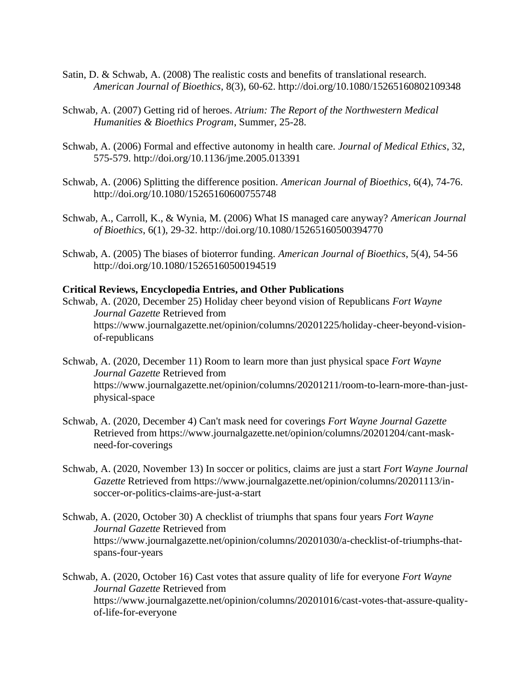- Satin, D. & Schwab, A. (2008) The realistic costs and benefits of translational research. *American Journal of Bioethics*, 8(3), 60-62. http://doi.org/10.1080/15265160802109348
- Schwab, A. (2007) Getting rid of heroes. *Atrium: The Report of the Northwestern Medical Humanities & Bioethics Program*, Summer, 25-28.
- Schwab, A. (2006) Formal and effective autonomy in health care. *Journal of Medical Ethics*, 32, 575-579. http://doi.org/10.1136/jme.2005.013391
- Schwab, A. (2006) Splitting the difference position. *American Journal of Bioethics*, 6(4), 74-76. http://doi.org/10.1080/15265160600755748
- Schwab, A., Carroll, K., & Wynia, M. (2006) What IS managed care anyway? *American Journal of Bioethics*, 6(1), 29-32. http://doi.org/10.1080/15265160500394770
- Schwab, A. (2005) The biases of bioterror funding. *American Journal of Bioethics*, 5(4), 54-56 http://doi.org/10.1080/15265160500194519

#### **Critical Reviews, Encyclopedia Entries, and Other Publications**

- Schwab, A. (2020, December 25) Holiday cheer beyond vision of Republicans *Fort Wayne Journal Gazette* Retrieved from https://www.journalgazette.net/opinion/columns/20201225/holiday-cheer-beyond-visionof-republicans
- Schwab, A. (2020, December 11) Room to learn more than just physical space *Fort Wayne Journal Gazette* Retrieved from https://www.journalgazette.net/opinion/columns/20201211/room-to-learn-more-than-justphysical-space
- Schwab, A. (2020, December 4) Can't mask need for coverings *Fort Wayne Journal Gazette* Retrieved from https://www.journalgazette.net/opinion/columns/20201204/cant-maskneed-for-coverings
- Schwab, A. (2020, November 13) In soccer or politics, claims are just a start *Fort Wayne Journal Gazette* Retrieved from https://www.journalgazette.net/opinion/columns/20201113/insoccer-or-politics-claims-are-just-a-start
- Schwab, A. (2020, October 30) A checklist of triumphs that spans four years *Fort Wayne Journal Gazette* Retrieved from https://www.journalgazette.net/opinion/columns/20201030/a-checklist-of-triumphs-thatspans-four-years
- Schwab, A. (2020, October 16) Cast votes that assure quality of life for everyone *Fort Wayne Journal Gazette* Retrieved from https://www.journalgazette.net/opinion/columns/20201016/cast-votes-that-assure-qualityof-life-for-everyone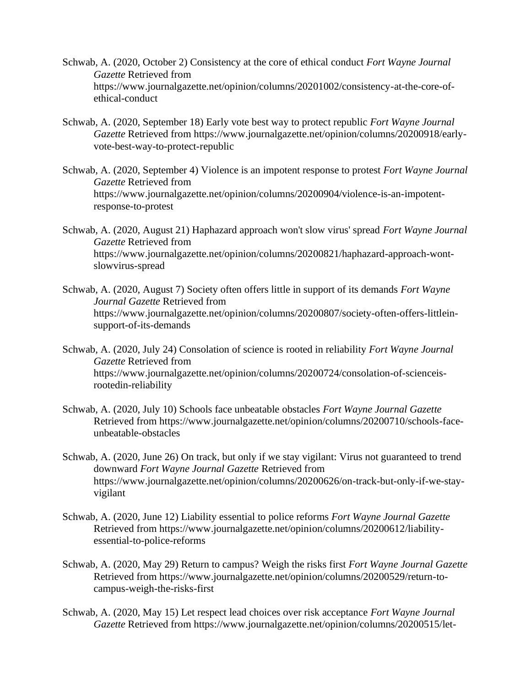- Schwab, A. (2020, October 2) Consistency at the core of ethical conduct *Fort Wayne Journal Gazette* Retrieved from https://www.journalgazette.net/opinion/columns/20201002/consistency-at-the-core-ofethical-conduct
- Schwab, A. (2020, September 18) Early vote best way to protect republic *Fort Wayne Journal Gazette* Retrieved from https://www.journalgazette.net/opinion/columns/20200918/earlyvote-best-way-to-protect-republic
- Schwab, A. (2020, September 4) Violence is an impotent response to protest *Fort Wayne Journal Gazette* Retrieved from https://www.journalgazette.net/opinion/columns/20200904/violence-is-an-impotentresponse-to-protest
- Schwab, A. (2020, August 21) Haphazard approach won't slow virus' spread *Fort Wayne Journal Gazette* Retrieved from https://www.journalgazette.net/opinion/columns/20200821/haphazard-approach-wontslowvirus-spread
- Schwab, A. (2020, August 7) Society often offers little in support of its demands *Fort Wayne Journal Gazette* Retrieved from https://www.journalgazette.net/opinion/columns/20200807/society-often-offers-littleinsupport-of-its-demands
- Schwab, A. (2020, July 24) Consolation of science is rooted in reliability *Fort Wayne Journal Gazette* Retrieved from https://www.journalgazette.net/opinion/columns/20200724/consolation-of-scienceisrootedin-reliability
- Schwab, A. (2020, July 10) Schools face unbeatable obstacles *Fort Wayne Journal Gazette* Retrieved from https://www.journalgazette.net/opinion/columns/20200710/schools-faceunbeatable-obstacles
- Schwab, A. (2020, June 26) On track, but only if we stay vigilant: Virus not guaranteed to trend downward *Fort Wayne Journal Gazette* Retrieved from https://www.journalgazette.net/opinion/columns/20200626/on-track-but-only-if-we-stayvigilant
- Schwab, A. (2020, June 12) Liability essential to police reforms *Fort Wayne Journal Gazette* Retrieved from https://www.journalgazette.net/opinion/columns/20200612/liabilityessential-to-police-reforms
- Schwab, A. (2020, May 29) Return to campus? Weigh the risks first *Fort Wayne Journal Gazette* Retrieved from https://www.journalgazette.net/opinion/columns/20200529/return-tocampus-weigh-the-risks-first
- Schwab, A. (2020, May 15) Let respect lead choices over risk acceptance *Fort Wayne Journal Gazette* Retrieved from https://www.journalgazette.net/opinion/columns/20200515/let-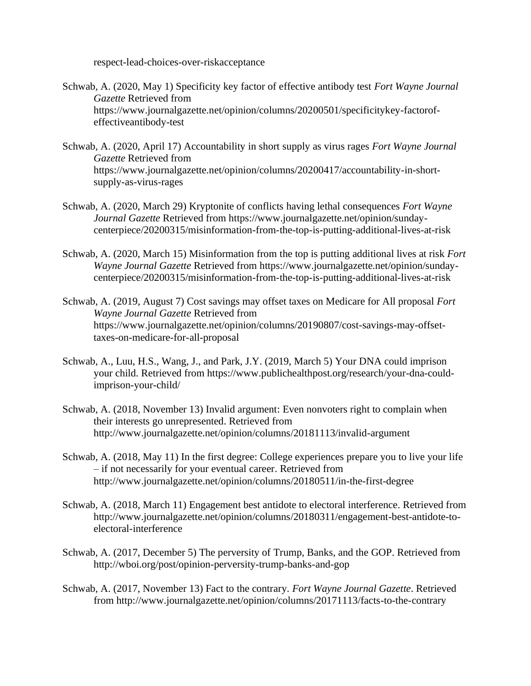respect-lead-choices-over-riskacceptance

- Schwab, A. (2020, May 1) Specificity key factor of effective antibody test *Fort Wayne Journal Gazette* Retrieved from https://www.journalgazette.net/opinion/columns/20200501/specificitykey-factorofeffectiveantibody-test
- Schwab, A. (2020, April 17) Accountability in short supply as virus rages *Fort Wayne Journal Gazette* Retrieved from https://www.journalgazette.net/opinion/columns/20200417/accountability-in-shortsupply-as-virus-rages
- Schwab, A. (2020, March 29) Kryptonite of conflicts having lethal consequences *Fort Wayne Journal Gazette* Retrieved from https://www.journalgazette.net/opinion/sundaycenterpiece/20200315/misinformation-from-the-top-is-putting-additional-lives-at-risk
- Schwab, A. (2020, March 15) Misinformation from the top is putting additional lives at risk *Fort Wayne Journal Gazette* Retrieved from https://www.journalgazette.net/opinion/sundaycenterpiece/20200315/misinformation-from-the-top-is-putting-additional-lives-at-risk
- Schwab, A. (2019, August 7) Cost savings may offset taxes on Medicare for All proposal *Fort Wayne Journal Gazette* Retrieved from https://www.journalgazette.net/opinion/columns/20190807/cost-savings-may-offsettaxes-on-medicare-for-all-proposal
- Schwab, A., Luu, H.S., Wang, J., and Park, J.Y. (2019, March 5) Your DNA could imprison your child. Retrieved from https://www.publichealthpost.org/research/your-dna-couldimprison-your-child/
- Schwab, A. (2018, November 13) Invalid argument: Even nonvoters right to complain when their interests go unrepresented. Retrieved from http://www.journalgazette.net/opinion/columns/20181113/invalid-argument
- Schwab, A. (2018, May 11) In the first degree: College experiences prepare you to live your life – if not necessarily for your eventual career. Retrieved from http://www.journalgazette.net/opinion/columns/20180511/in-the-first-degree
- Schwab, A. (2018, March 11) Engagement best antidote to electoral interference. Retrieved from http://www.journalgazette.net/opinion/columns/20180311/engagement-best-antidote-toelectoral-interference
- Schwab, A. (2017, December 5) The perversity of Trump, Banks, and the GOP. Retrieved from http://wboi.org/post/opinion-perversity-trump-banks-and-gop
- Schwab, A. (2017, November 13) Fact to the contrary. *Fort Wayne Journal Gazette*. Retrieved from http://www.journalgazette.net/opinion/columns/20171113/facts-to-the-contrary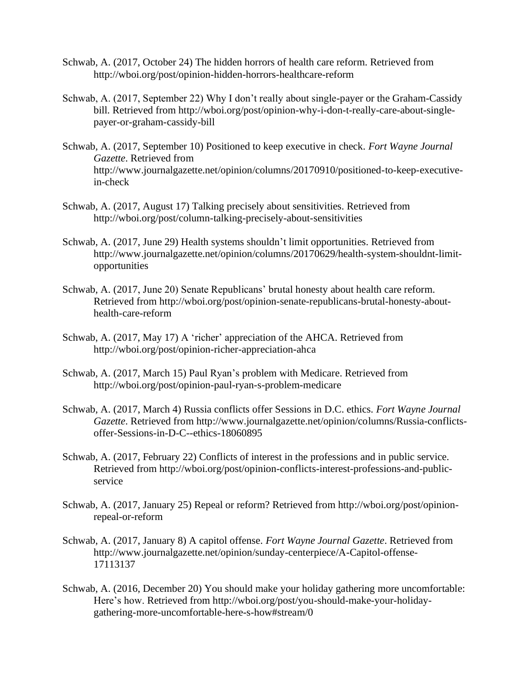- Schwab, A. (2017, October 24) The hidden horrors of health care reform. Retrieved from http://wboi.org/post/opinion-hidden-horrors-healthcare-reform
- Schwab, A. (2017, September 22) Why I don't really about single-payer or the Graham-Cassidy bill. Retrieved from http://wboi.org/post/opinion-why-i-don-t-really-care-about-singlepayer-or-graham-cassidy-bill
- Schwab, A. (2017, September 10) Positioned to keep executive in check. *Fort Wayne Journal Gazette*. Retrieved from http://www.journalgazette.net/opinion/columns/20170910/positioned-to-keep-executivein-check
- Schwab, A. (2017, August 17) Talking precisely about sensitivities. Retrieved from http://wboi.org/post/column-talking-precisely-about-sensitivities
- Schwab, A. (2017, June 29) Health systems shouldn't limit opportunities. Retrieved from http://www.journalgazette.net/opinion/columns/20170629/health-system-shouldnt-limitopportunities
- Schwab, A. (2017, June 20) Senate Republicans' brutal honesty about health care reform. Retrieved from http://wboi.org/post/opinion-senate-republicans-brutal-honesty-abouthealth-care-reform
- Schwab, A. (2017, May 17) A 'richer' appreciation of the AHCA. Retrieved from http://wboi.org/post/opinion-richer-appreciation-ahca
- Schwab, A. (2017, March 15) Paul Ryan's problem with Medicare. Retrieved from http://wboi.org/post/opinion-paul-ryan-s-problem-medicare
- Schwab, A. (2017, March 4) Russia conflicts offer Sessions in D.C. ethics. *Fort Wayne Journal Gazette*. Retrieved from http://www.journalgazette.net/opinion/columns/Russia-conflictsoffer-Sessions-in-D-C--ethics-18060895
- Schwab, A. (2017, February 22) Conflicts of interest in the professions and in public service. Retrieved from http://wboi.org/post/opinion-conflicts-interest-professions-and-publicservice
- Schwab, A. (2017, January 25) Repeal or reform? Retrieved from http://wboi.org/post/opinionrepeal-or-reform
- Schwab, A. (2017, January 8) A capitol offense. *Fort Wayne Journal Gazette*. Retrieved from http://www.journalgazette.net/opinion/sunday-centerpiece/A-Capitol-offense-17113137
- Schwab, A. (2016, December 20) You should make your holiday gathering more uncomfortable: Here's how. Retrieved from http://wboi.org/post/you-should-make-your-holidaygathering-more-uncomfortable-here-s-how#stream/0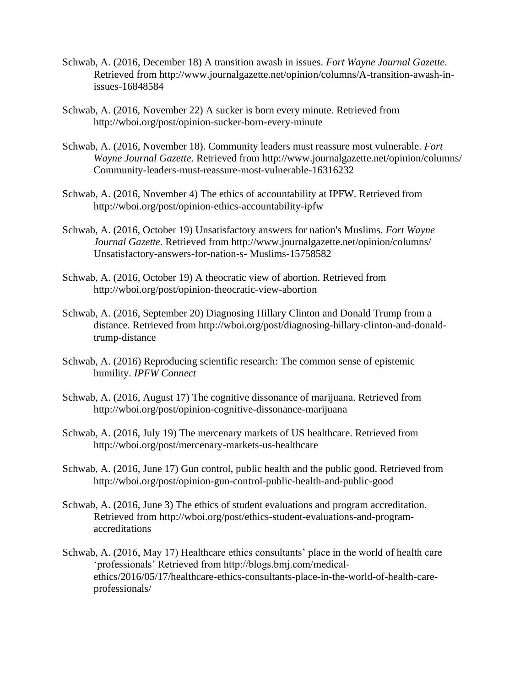- Schwab, A. (2016, December 18) A transition awash in issues. *Fort Wayne Journal Gazette*. Retrieved from http://www.journalgazette.net/opinion/columns/A-transition-awash-inissues-16848584
- Schwab, A. (2016, November 22) A sucker is born every minute. Retrieved from http://wboi.org/post/opinion-sucker-born-every-minute
- Schwab, A. (2016, November 18). Community leaders must reassure most vulnerable. *Fort Wayne Journal Gazette*. Retrieved from http://www.journalgazette.net/opinion/columns/ Community-leaders-must-reassure-most-vulnerable-16316232
- Schwab, A. (2016, November 4) The ethics of accountability at IPFW. Retrieved from http://wboi.org/post/opinion-ethics-accountability-ipfw
- Schwab, A. (2016, October 19) Unsatisfactory answers for nation's Muslims. *Fort Wayne Journal Gazette*. Retrieved from http://www.journalgazette.net/opinion/columns/ Unsatisfactory-answers-for-nation-s- Muslims-15758582
- Schwab, A. (2016, October 19) A theocratic view of abortion. Retrieved from http://wboi.org/post/opinion-theocratic-view-abortion
- Schwab, A. (2016, September 20) Diagnosing Hillary Clinton and Donald Trump from a distance. Retrieved from http://wboi.org/post/diagnosing-hillary-clinton-and-donaldtrump-distance
- Schwab, A. (2016) Reproducing scientific research: The common sense of epistemic humility. *IPFW Connect*
- Schwab, A. (2016, August 17) The cognitive dissonance of marijuana. Retrieved from http://wboi.org/post/opinion-cognitive-dissonance-marijuana
- Schwab, A. (2016, July 19) The mercenary markets of US healthcare. Retrieved from http://wboi.org/post/mercenary-markets-us-healthcare
- Schwab, A. (2016, June 17) Gun control, public health and the public good. Retrieved from http://wboi.org/post/opinion-gun-control-public-health-and-public-good
- Schwab, A. (2016, June 3) The ethics of student evaluations and program accreditation. Retrieved from http://wboi.org/post/ethics-student-evaluations-and-programaccreditations
- Schwab, A. (2016, May 17) Healthcare ethics consultants' place in the world of health care 'professionals' Retrieved from http://blogs.bmj.com/medicalethics/2016/05/17/healthcare-ethics-consultants-place-in-the-world-of-health-careprofessionals/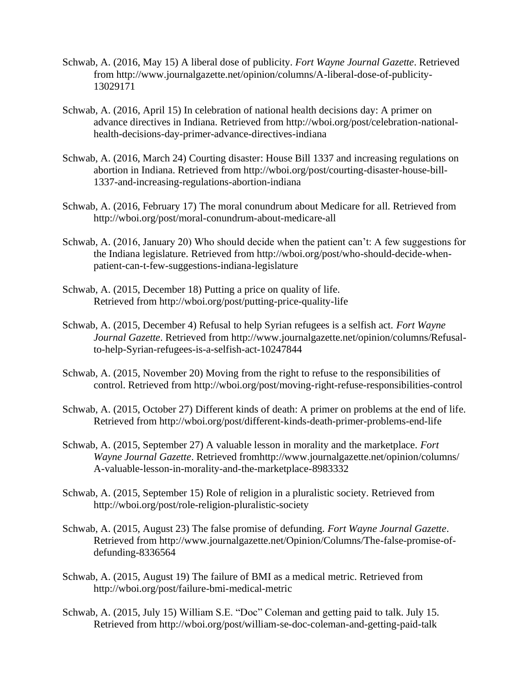- Schwab, A. (2016, May 15) A liberal dose of publicity. *Fort Wayne Journal Gazette*. Retrieved from http://www.journalgazette.net/opinion/columns/A-liberal-dose-of-publicity-13029171
- Schwab, A. (2016, April 15) In celebration of national health decisions day: A primer on advance directives in Indiana. Retrieved from http://wboi.org/post/celebration-nationalhealth-decisions-day-primer-advance-directives-indiana
- Schwab, A. (2016, March 24) Courting disaster: House Bill 1337 and increasing regulations on abortion in Indiana. Retrieved from http://wboi.org/post/courting-disaster-house-bill-1337-and-increasing-regulations-abortion-indiana
- Schwab, A. (2016, February 17) The moral conundrum about Medicare for all. Retrieved from http://wboi.org/post/moral-conundrum-about-medicare-all
- Schwab, A. (2016, January 20) Who should decide when the patient can't: A few suggestions for the Indiana legislature. Retrieved from http://wboi.org/post/who-should-decide-whenpatient-can-t-few-suggestions-indiana-legislature
- Schwab, A. (2015, December 18) Putting a price on quality of life. Retrieved from http://wboi.org/post/putting-price-quality-life
- Schwab, A. (2015, December 4) Refusal to help Syrian refugees is a selfish act. *Fort Wayne Journal Gazette*. Retrieved from http://www.journalgazette.net/opinion/columns/Refusalto-help-Syrian-refugees-is-a-selfish-act-10247844
- Schwab, A. (2015, November 20) Moving from the right to refuse to the responsibilities of control. Retrieved from http://wboi.org/post/moving-right-refuse-responsibilities-control
- Schwab, A. (2015, October 27) Different kinds of death: A primer on problems at the end of life. Retrieved from http://wboi.org/post/different-kinds-death-primer-problems-end-life
- Schwab, A. (2015, September 27) A valuable lesson in morality and the marketplace. *Fort Wayne Journal Gazette*. Retrieved fromhttp://www.journalgazette.net/opinion/columns/ A-valuable-lesson-in-morality-and-the-marketplace-8983332
- Schwab, A. (2015, September 15) Role of religion in a pluralistic society. Retrieved from http://wboi.org/post/role-religion-pluralistic-society
- Schwab, A. (2015, August 23) The false promise of defunding. *Fort Wayne Journal Gazette*. Retrieved from http://www.journalgazette.net/Opinion/Columns/The-false-promise-ofdefunding-8336564
- Schwab, A. (2015, August 19) The failure of BMI as a medical metric. Retrieved from http://wboi.org/post/failure-bmi-medical-metric
- Schwab, A. (2015, July 15) William S.E. "Doc" Coleman and getting paid to talk. July 15. Retrieved from http://wboi.org/post/william-se-doc-coleman-and-getting-paid-talk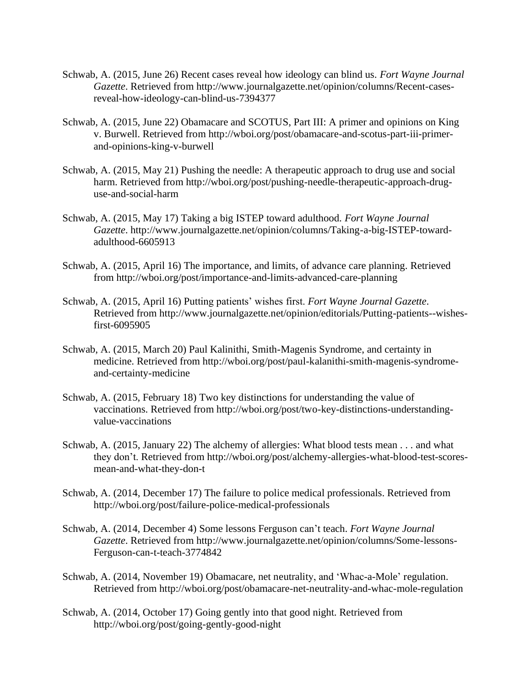- Schwab, A. (2015, June 26) Recent cases reveal how ideology can blind us. *Fort Wayne Journal Gazette*. Retrieved from http://www.journalgazette.net/opinion/columns/Recent-casesreveal-how-ideology-can-blind-us-7394377
- Schwab, A. (2015, June 22) Obamacare and SCOTUS, Part III: A primer and opinions on King v. Burwell. Retrieved from http://wboi.org/post/obamacare-and-scotus-part-iii-primerand-opinions-king-v-burwell
- Schwab, A. (2015, May 21) Pushing the needle: A therapeutic approach to drug use and social harm. Retrieved from http://wboi.org/post/pushing-needle-therapeutic-approach-druguse-and-social-harm
- Schwab, A. (2015, May 17) Taking a big ISTEP toward adulthood. *Fort Wayne Journal Gazette*. http://www.journalgazette.net/opinion/columns/Taking-a-big-ISTEP-towardadulthood-6605913
- Schwab, A. (2015, April 16) The importance, and limits, of advance care planning. Retrieved from http://wboi.org/post/importance-and-limits-advanced-care-planning
- Schwab, A. (2015, April 16) Putting patients' wishes first. *Fort Wayne Journal Gazette*. Retrieved from http://www.journalgazette.net/opinion/editorials/Putting-patients--wishesfirst-6095905
- Schwab, A. (2015, March 20) Paul Kalinithi, Smith-Magenis Syndrome, and certainty in medicine. Retrieved from http://wboi.org/post/paul-kalanithi-smith-magenis-syndromeand-certainty-medicine
- Schwab, A. (2015, February 18) Two key distinctions for understanding the value of vaccinations. Retrieved from http://wboi.org/post/two-key-distinctions-understandingvalue-vaccinations
- Schwab, A. (2015, January 22) The alchemy of allergies: What blood tests mean . . . and what they don't. Retrieved from http://wboi.org/post/alchemy-allergies-what-blood-test-scoresmean-and-what-they-don-t
- Schwab, A. (2014, December 17) The failure to police medical professionals. Retrieved from http://wboi.org/post/failure-police-medical-professionals
- Schwab, A. (2014, December 4) Some lessons Ferguson can't teach. *Fort Wayne Journal Gazette*. Retrieved from http://www.journalgazette.net/opinion/columns/Some-lessons-Ferguson-can-t-teach-3774842
- Schwab, A. (2014, November 19) Obamacare, net neutrality, and 'Whac-a-Mole' regulation. Retrieved from http://wboi.org/post/obamacare-net-neutrality-and-whac-mole-regulation
- Schwab, A. (2014, October 17) Going gently into that good night. Retrieved from http://wboi.org/post/going-gently-good-night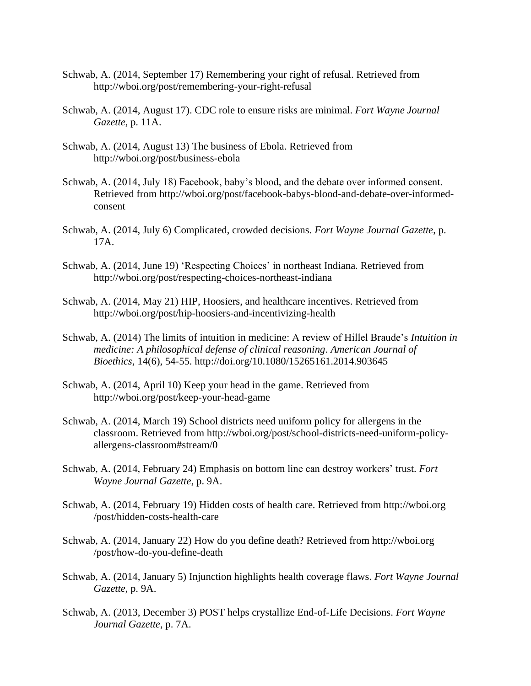- Schwab, A. (2014, September 17) Remembering your right of refusal. Retrieved from http://wboi.org/post/remembering-your-right-refusal
- Schwab, A. (2014, August 17). CDC role to ensure risks are minimal. *Fort Wayne Journal Gazette*, p. 11A.
- Schwab, A. (2014, August 13) The business of Ebola. Retrieved from http://wboi.org/post/business-ebola
- Schwab, A. (2014, July 18) Facebook, baby's blood, and the debate over informed consent. Retrieved from http://wboi.org/post/facebook-babys-blood-and-debate-over-informedconsent
- Schwab, A. (2014, July 6) Complicated, crowded decisions. *Fort Wayne Journal Gazette*, p. 17A.
- Schwab, A. (2014, June 19) 'Respecting Choices' in northeast Indiana. Retrieved from http://wboi.org/post/respecting-choices-northeast-indiana
- Schwab, A. (2014, May 21) HIP, Hoosiers, and healthcare incentives. Retrieved from http://wboi.org/post/hip-hoosiers-and-incentivizing-health
- Schwab, A. (2014) The limits of intuition in medicine: A review of Hillel Braude's *Intuition in medicine: A philosophical defense of clinical reasoning*. *American Journal of Bioethics*, 14(6), 54-55. http://doi.org/10.1080/15265161.2014.903645
- Schwab, A. (2014, April 10) Keep your head in the game. Retrieved from http://wboi.org/post/keep-your-head-game
- Schwab, A. (2014, March 19) School districts need uniform policy for allergens in the classroom. Retrieved from http://wboi.org/post/school-districts-need-uniform-policyallergens-classroom#stream/0
- Schwab, A. (2014, February 24) Emphasis on bottom line can destroy workers' trust. *Fort Wayne Journal Gazette*, p. 9A.
- Schwab, A. (2014, February 19) Hidden costs of health care. Retrieved from http://wboi.org /post/hidden-costs-health-care
- Schwab, A. (2014, January 22) How do you define death? Retrieved from http://wboi.org /post/how-do-you-define-death
- Schwab, A. (2014, January 5) Injunction highlights health coverage flaws. *Fort Wayne Journal Gazette*, p. 9A.
- Schwab, A. (2013, December 3) POST helps crystallize End-of-Life Decisions. *Fort Wayne Journal Gazette*, p. 7A.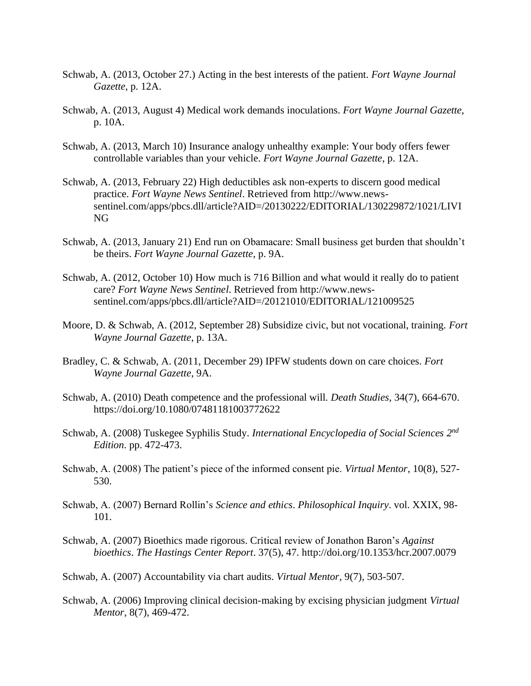- Schwab, A. (2013, October 27.) Acting in the best interests of the patient. *Fort Wayne Journal Gazette*, p. 12A.
- Schwab, A. (2013, August 4) Medical work demands inoculations. *Fort Wayne Journal Gazette*, p. 10A.
- Schwab, A. (2013, March 10) Insurance analogy unhealthy example: Your body offers fewer controllable variables than your vehicle. *Fort Wayne Journal Gazette*, p. 12A.
- Schwab, A. (2013, February 22) High deductibles ask non-experts to discern good medical practice. *Fort Wayne News Sentinel*. Retrieved from http://www.newssentinel.com/apps/pbcs.dll/article?AID=/20130222/EDITORIAL/130229872/1021/LIVI NG
- Schwab, A. (2013, January 21) End run on Obamacare: Small business get burden that shouldn't be theirs. *Fort Wayne Journal Gazette*, p. 9A.
- Schwab, A. (2012, October 10) How much is 716 Billion and what would it really do to patient care? *Fort Wayne News Sentinel*. Retrieved from http://www.newssentinel.com/apps/pbcs.dll/article?AID=/20121010/EDITORIAL/121009525
- Moore, D. & Schwab, A. (2012, September 28) Subsidize civic, but not vocational, training. *Fort Wayne Journal Gazette*, p. 13A.
- Bradley, C. & Schwab, A. (2011, December 29) IPFW students down on care choices. *Fort Wayne Journal Gazette*, 9A.
- Schwab, A. (2010) Death competence and the professional will. *Death Studies*, 34(7), 664-670. https://doi.org/10.1080/07481181003772622
- Schwab, A. (2008) Tuskegee Syphilis Study. *International Encyclopedia of Social Sciences* 2<sup>nd</sup> *Edition*. pp. 472-473.
- Schwab, A. (2008) The patient's piece of the informed consent pie. *Virtual Mentor*, 10(8), 527- 530.
- Schwab, A. (2007) Bernard Rollin's *Science and ethics*. *Philosophical Inquiry*. vol. XXIX, 98- 101.
- Schwab, A. (2007) Bioethics made rigorous. Critical review of Jonathon Baron's *Against bioethics*. *The Hastings Center Report*. 37(5), 47. http://doi.org/10.1353/hcr.2007.0079
- Schwab, A. (2007) Accountability via chart audits. *Virtual Mentor*, 9(7), 503-507.
- Schwab, A. (2006) Improving clinical decision-making by excising physician judgment *Virtual Mentor*, 8(7), 469-472.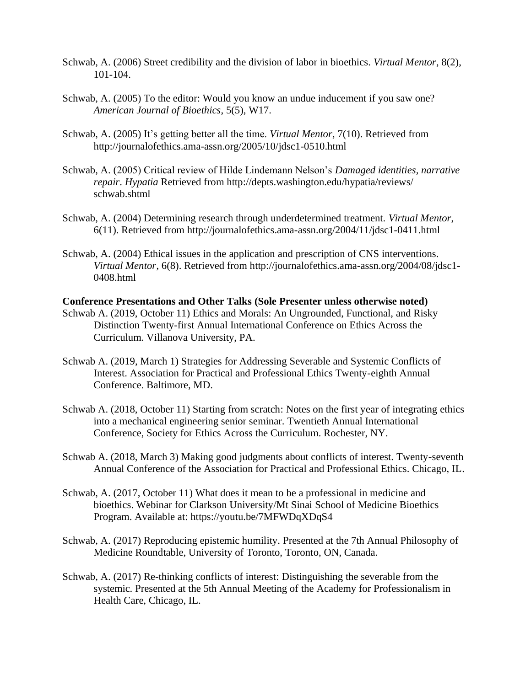- Schwab, A. (2006) Street credibility and the division of labor in bioethics. *Virtual Mentor*, 8(2), 101-104.
- Schwab, A. (2005) To the editor: Would you know an undue inducement if you saw one? *American Journal of Bioethics*, 5(5), W17.
- Schwab, A. (2005) It's getting better all the time. *Virtual Mentor*, 7(10). Retrieved from http://journalofethics.ama-assn.org/2005/10/jdsc1-0510.html
- Schwab, A. (2005) Critical review of Hilde Lindemann Nelson's *Damaged identities, narrative repair*. *Hypatia* Retrieved from http://depts.washington.edu/hypatia/reviews/ schwab.shtml
- Schwab, A. (2004) Determining research through underdetermined treatment. *Virtual Mentor*, 6(11). Retrieved from http://journalofethics.ama-assn.org/2004/11/jdsc1-0411.html
- Schwab, A. (2004) Ethical issues in the application and prescription of CNS interventions. *Virtual Mentor*, 6(8). Retrieved from http://journalofethics.ama-assn.org/2004/08/jdsc1- 0408.html

#### **Conference Presentations and Other Talks (Sole Presenter unless otherwise noted)**

- Schwab A. (2019, October 11) Ethics and Morals: An Ungrounded, Functional, and Risky Distinction Twenty-first Annual International Conference on Ethics Across the Curriculum. Villanova University, PA.
- Schwab A. (2019, March 1) Strategies for Addressing Severable and Systemic Conflicts of Interest. Association for Practical and Professional Ethics Twenty-eighth Annual Conference. Baltimore, MD.
- Schwab A. (2018, October 11) Starting from scratch: Notes on the first year of integrating ethics into a mechanical engineering senior seminar. Twentieth Annual International Conference, Society for Ethics Across the Curriculum. Rochester, NY.
- Schwab A. (2018, March 3) Making good judgments about conflicts of interest. Twenty-seventh Annual Conference of the Association for Practical and Professional Ethics. Chicago, IL.
- Schwab, A. (2017, October 11) What does it mean to be a professional in medicine and bioethics. Webinar for Clarkson University/Mt Sinai School of Medicine Bioethics Program. Available at: https://youtu.be/7MFWDqXDqS4
- Schwab, A. (2017) Reproducing epistemic humility. Presented at the 7th Annual Philosophy of Medicine Roundtable, University of Toronto, Toronto, ON, Canada.
- Schwab, A. (2017) Re-thinking conflicts of interest: Distinguishing the severable from the systemic. Presented at the 5th Annual Meeting of the Academy for Professionalism in Health Care, Chicago, IL.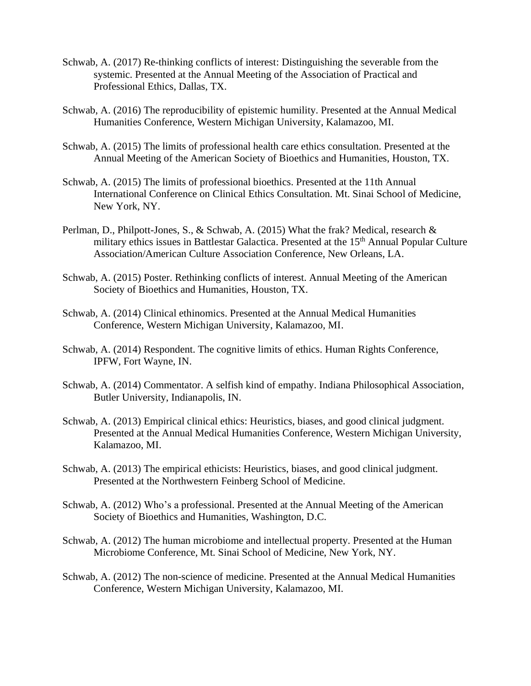- Schwab, A. (2017) Re-thinking conflicts of interest: Distinguishing the severable from the systemic. Presented at the Annual Meeting of the Association of Practical and Professional Ethics, Dallas, TX.
- Schwab, A. (2016) The reproducibility of epistemic humility. Presented at the Annual Medical Humanities Conference, Western Michigan University, Kalamazoo, MI.
- Schwab, A. (2015) The limits of professional health care ethics consultation. Presented at the Annual Meeting of the American Society of Bioethics and Humanities, Houston, TX.
- Schwab, A. (2015) The limits of professional bioethics. Presented at the 11th Annual International Conference on Clinical Ethics Consultation. Mt. Sinai School of Medicine, New York, NY.
- Perlman, D., Philpott-Jones, S., & Schwab, A. (2015) What the frak? Medical, research & military ethics issues in Battlestar Galactica. Presented at the 15<sup>th</sup> Annual Popular Culture Association/American Culture Association Conference, New Orleans, LA.
- Schwab, A. (2015) Poster. Rethinking conflicts of interest. Annual Meeting of the American Society of Bioethics and Humanities, Houston, TX.
- Schwab, A. (2014) Clinical ethinomics. Presented at the Annual Medical Humanities Conference, Western Michigan University, Kalamazoo, MI.
- Schwab, A. (2014) Respondent. The cognitive limits of ethics. Human Rights Conference, IPFW, Fort Wayne, IN.
- Schwab, A. (2014) Commentator. A selfish kind of empathy. Indiana Philosophical Association, Butler University, Indianapolis, IN.
- Schwab, A. (2013) Empirical clinical ethics: Heuristics, biases, and good clinical judgment. Presented at the Annual Medical Humanities Conference, Western Michigan University, Kalamazoo, MI.
- Schwab, A. (2013) The empirical ethicists: Heuristics, biases, and good clinical judgment. Presented at the Northwestern Feinberg School of Medicine.
- Schwab, A. (2012) Who's a professional. Presented at the Annual Meeting of the American Society of Bioethics and Humanities, Washington, D.C.
- Schwab, A. (2012) The human microbiome and intellectual property. Presented at the Human Microbiome Conference, Mt. Sinai School of Medicine, New York, NY.
- Schwab, A. (2012) The non-science of medicine. Presented at the Annual Medical Humanities Conference, Western Michigan University, Kalamazoo, MI.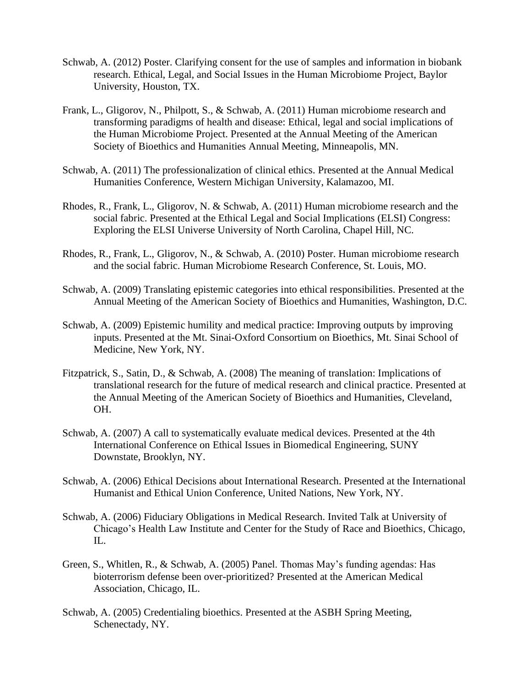- Schwab, A. (2012) Poster. Clarifying consent for the use of samples and information in biobank research. Ethical, Legal, and Social Issues in the Human Microbiome Project, Baylor University, Houston, TX.
- Frank, L., Gligorov, N., Philpott, S., & Schwab, A. (2011) Human microbiome research and transforming paradigms of health and disease: Ethical, legal and social implications of the Human Microbiome Project. Presented at the Annual Meeting of the American Society of Bioethics and Humanities Annual Meeting, Minneapolis, MN.
- Schwab, A. (2011) The professionalization of clinical ethics. Presented at the Annual Medical Humanities Conference, Western Michigan University, Kalamazoo, MI.
- Rhodes, R., Frank, L., Gligorov, N. & Schwab, A. (2011) Human microbiome research and the social fabric. Presented at the Ethical Legal and Social Implications (ELSI) Congress: Exploring the ELSI Universe University of North Carolina, Chapel Hill, NC.
- Rhodes, R., Frank, L., Gligorov, N., & Schwab, A. (2010) Poster. Human microbiome research and the social fabric. Human Microbiome Research Conference, St. Louis, MO.
- Schwab, A. (2009) Translating epistemic categories into ethical responsibilities. Presented at the Annual Meeting of the American Society of Bioethics and Humanities, Washington, D.C.
- Schwab, A. (2009) Epistemic humility and medical practice: Improving outputs by improving inputs. Presented at the Mt. Sinai-Oxford Consortium on Bioethics, Mt. Sinai School of Medicine, New York, NY.
- Fitzpatrick, S., Satin, D., & Schwab, A. (2008) The meaning of translation: Implications of translational research for the future of medical research and clinical practice. Presented at the Annual Meeting of the American Society of Bioethics and Humanities, Cleveland, OH.
- Schwab, A. (2007) A call to systematically evaluate medical devices. Presented at the 4th International Conference on Ethical Issues in Biomedical Engineering, SUNY Downstate, Brooklyn, NY.
- Schwab, A. (2006) Ethical Decisions about International Research. Presented at the International Humanist and Ethical Union Conference, United Nations, New York, NY.
- Schwab, A. (2006) Fiduciary Obligations in Medical Research. Invited Talk at University of Chicago's Health Law Institute and Center for the Study of Race and Bioethics, Chicago, IL.
- Green, S., Whitlen, R., & Schwab, A. (2005) Panel. Thomas May's funding agendas: Has bioterrorism defense been over-prioritized? Presented at the American Medical Association, Chicago, IL.
- Schwab, A. (2005) Credentialing bioethics. Presented at the ASBH Spring Meeting, Schenectady, NY.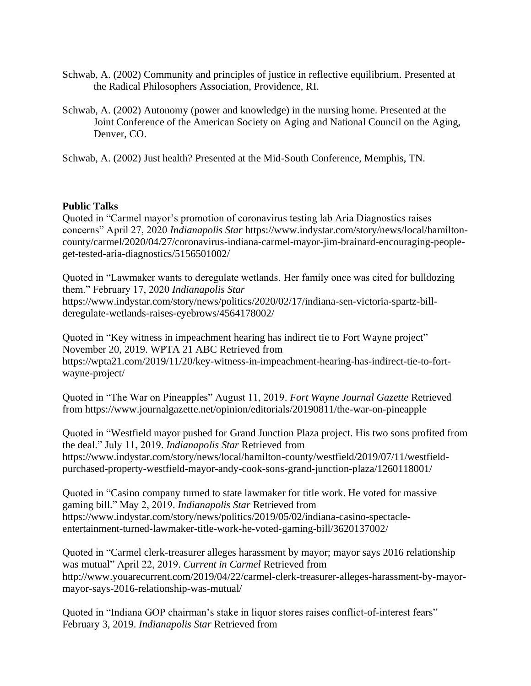- Schwab, A. (2002) Community and principles of justice in reflective equilibrium. Presented at the Radical Philosophers Association, Providence, RI.
- Schwab, A. (2002) Autonomy (power and knowledge) in the nursing home. Presented at the Joint Conference of the American Society on Aging and National Council on the Aging, Denver, CO.

Schwab, A. (2002) Just health? Presented at the Mid-South Conference, Memphis, TN.

## **Public Talks**

Quoted in "Carmel mayor's promotion of coronavirus testing lab Aria Diagnostics raises concerns" April 27, 2020 *Indianapolis Star* https://www.indystar.com/story/news/local/hamiltoncounty/carmel/2020/04/27/coronavirus-indiana-carmel-mayor-jim-brainard-encouraging-peopleget-tested-aria-diagnostics/5156501002/

Quoted in "Lawmaker wants to deregulate wetlands. Her family once was cited for bulldozing them." February 17, 2020 *Indianapolis Star*  https://www.indystar.com/story/news/politics/2020/02/17/indiana-sen-victoria-spartz-billderegulate-wetlands-raises-eyebrows/4564178002/

Quoted in "Key witness in impeachment hearing has indirect tie to Fort Wayne project" November 20, 2019. WPTA 21 ABC Retrieved from https://wpta21.com/2019/11/20/key-witness-in-impeachment-hearing-has-indirect-tie-to-fortwayne-project/

Quoted in "The War on Pineapples" August 11, 2019. *Fort Wayne Journal Gazette* Retrieved from https://www.journalgazette.net/opinion/editorials/20190811/the-war-on-pineapple

Quoted in "Westfield mayor pushed for Grand Junction Plaza project. His two sons profited from the deal." July 11, 2019. *Indianapolis Star* Retrieved from https://www.indystar.com/story/news/local/hamilton-county/westfield/2019/07/11/westfieldpurchased-property-westfield-mayor-andy-cook-sons-grand-junction-plaza/1260118001/

Quoted in "Casino company turned to state lawmaker for title work. He voted for massive gaming bill." May 2, 2019. *Indianapolis Star* Retrieved from https://www.indystar.com/story/news/politics/2019/05/02/indiana-casino-spectacleentertainment-turned-lawmaker-title-work-he-voted-gaming-bill/3620137002/

Quoted in "Carmel clerk-treasurer alleges harassment by mayor; mayor says 2016 relationship was mutual" April 22, 2019. *Current in Carmel* Retrieved from http://www.youarecurrent.com/2019/04/22/carmel-clerk-treasurer-alleges-harassment-by-mayormayor-says-2016-relationship-was-mutual/

Quoted in "Indiana GOP chairman's stake in liquor stores raises conflict-of-interest fears" February 3, 2019. *Indianapolis Star* Retrieved from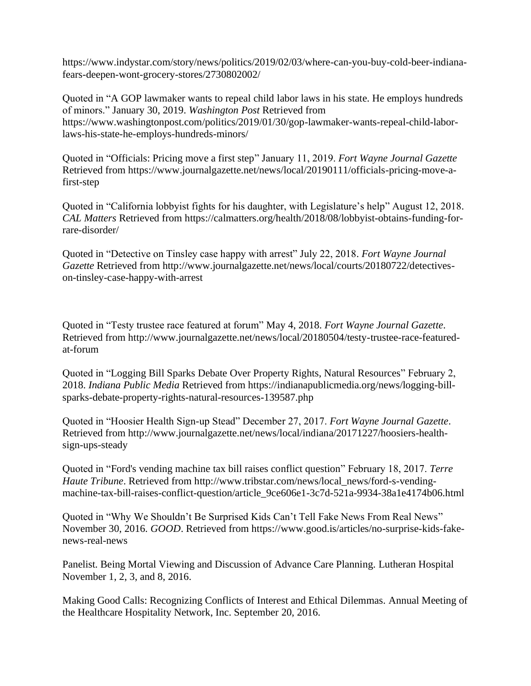https://www.indystar.com/story/news/politics/2019/02/03/where-can-you-buy-cold-beer-indianafears-deepen-wont-grocery-stores/2730802002/

Quoted in "A GOP lawmaker wants to repeal child labor laws in his state. He employs hundreds of minors." January 30, 2019. *Washington Post* Retrieved from https://www.washingtonpost.com/politics/2019/01/30/gop-lawmaker-wants-repeal-child-laborlaws-his-state-he-employs-hundreds-minors/

Quoted in "Officials: Pricing move a first step" January 11, 2019. *Fort Wayne Journal Gazette* Retrieved from https://www.journalgazette.net/news/local/20190111/officials-pricing-move-afirst-step

Quoted in "California lobbyist fights for his daughter, with Legislature's help" August 12, 2018. *CAL Matters* Retrieved from https://calmatters.org/health/2018/08/lobbyist-obtains-funding-forrare-disorder/

Quoted in "Detective on Tinsley case happy with arrest" July 22, 2018. *Fort Wayne Journal Gazette* Retrieved from http://www.journalgazette.net/news/local/courts/20180722/detectiveson-tinsley-case-happy-with-arrest

Quoted in "Testy trustee race featured at forum" May 4, 2018. *Fort Wayne Journal Gazette*. Retrieved from http://www.journalgazette.net/news/local/20180504/testy-trustee-race-featuredat-forum

Quoted in "Logging Bill Sparks Debate Over Property Rights, Natural Resources" February 2, 2018. *Indiana Public Media* Retrieved from https://indianapublicmedia.org/news/logging-billsparks-debate-property-rights-natural-resources-139587.php

Quoted in "Hoosier Health Sign-up Stead" December 27, 2017. *Fort Wayne Journal Gazette*. Retrieved from http://www.journalgazette.net/news/local/indiana/20171227/hoosiers-healthsign-ups-steady

Quoted in "Ford's vending machine tax bill raises conflict question" February 18, 2017. *Terre Haute Tribune*. Retrieved from http://www.tribstar.com/news/local\_news/ford-s-vendingmachine-tax-bill-raises-conflict-question/article\_9ce606e1-3c7d-521a-9934-38a1e4174b06.html

Quoted in "Why We Shouldn't Be Surprised Kids Can't Tell Fake News From Real News" November 30, 2016. *GOOD*. Retrieved from https://www.good.is/articles/no-surprise-kids-fakenews-real-news

Panelist. Being Mortal Viewing and Discussion of Advance Care Planning. Lutheran Hospital November 1, 2, 3, and 8, 2016.

Making Good Calls: Recognizing Conflicts of Interest and Ethical Dilemmas. Annual Meeting of the Healthcare Hospitality Network, Inc. September 20, 2016.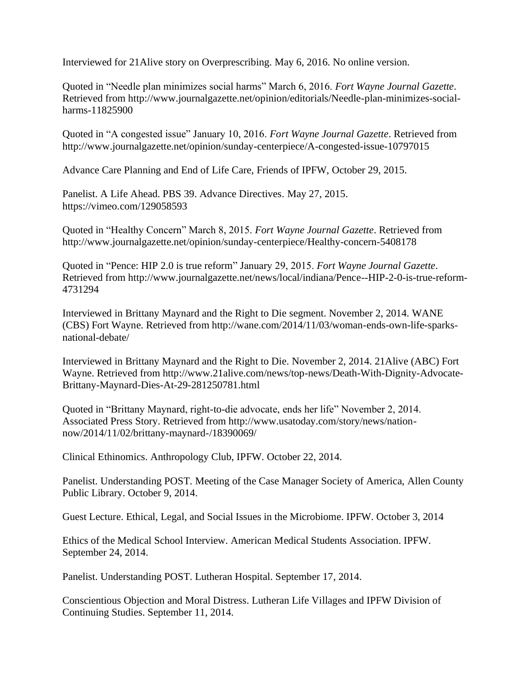Interviewed for 21Alive story on Overprescribing. May 6, 2016. No online version.

Quoted in "Needle plan minimizes social harms" March 6, 2016. *Fort Wayne Journal Gazette*. Retrieved from http://www.journalgazette.net/opinion/editorials/Needle-plan-minimizes-socialharms-11825900

Quoted in "A congested issue" January 10, 2016. *Fort Wayne Journal Gazette*. Retrieved from http://www.journalgazette.net/opinion/sunday-centerpiece/A-congested-issue-10797015

Advance Care Planning and End of Life Care, Friends of IPFW, October 29, 2015.

Panelist. A Life Ahead. PBS 39. Advance Directives. May 27, 2015. https://vimeo.com/129058593

Quoted in "Healthy Concern" March 8, 2015. *Fort Wayne Journal Gazette*. Retrieved from http://www.journalgazette.net/opinion/sunday-centerpiece/Healthy-concern-5408178

Quoted in "Pence: HIP 2.0 is true reform" January 29, 2015. *Fort Wayne Journal Gazette*. Retrieved from http://www.journalgazette.net/news/local/indiana/Pence--HIP-2-0-is-true-reform-4731294

Interviewed in Brittany Maynard and the Right to Die segment. November 2, 2014. WANE (CBS) Fort Wayne. Retrieved from http://wane.com/2014/11/03/woman-ends-own-life-sparksnational-debate/

Interviewed in Brittany Maynard and the Right to Die. November 2, 2014. 21Alive (ABC) Fort Wayne. Retrieved from http://www.21alive.com/news/top-news/Death-With-Dignity-Advocate-Brittany-Maynard-Dies-At-29-281250781.html

Quoted in "Brittany Maynard, right-to-die advocate, ends her life" November 2, 2014. Associated Press Story. Retrieved from http://www.usatoday.com/story/news/nationnow/2014/11/02/brittany-maynard-/18390069/

Clinical Ethinomics. Anthropology Club, IPFW. October 22, 2014.

Panelist. Understanding POST. Meeting of the Case Manager Society of America, Allen County Public Library. October 9, 2014.

Guest Lecture. Ethical, Legal, and Social Issues in the Microbiome. IPFW. October 3, 2014

Ethics of the Medical School Interview. American Medical Students Association. IPFW. September 24, 2014.

Panelist. Understanding POST. Lutheran Hospital. September 17, 2014.

Conscientious Objection and Moral Distress. Lutheran Life Villages and IPFW Division of Continuing Studies. September 11, 2014.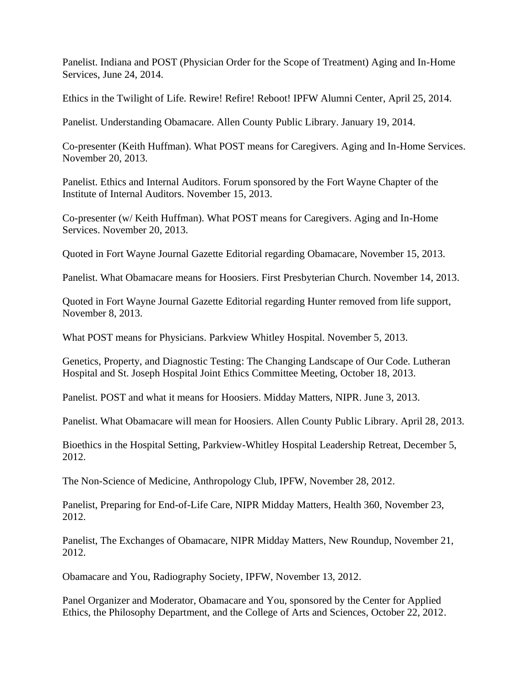Panelist. Indiana and POST (Physician Order for the Scope of Treatment) Aging and In-Home Services, June 24, 2014.

Ethics in the Twilight of Life. Rewire! Refire! Reboot! IPFW Alumni Center, April 25, 2014.

Panelist. Understanding Obamacare. Allen County Public Library. January 19, 2014.

Co-presenter (Keith Huffman). What POST means for Caregivers. Aging and In-Home Services. November 20, 2013.

Panelist. Ethics and Internal Auditors. Forum sponsored by the Fort Wayne Chapter of the Institute of Internal Auditors. November 15, 2013.

Co-presenter (w/ Keith Huffman). What POST means for Caregivers. Aging and In-Home Services. November 20, 2013.

Quoted in Fort Wayne Journal Gazette Editorial regarding Obamacare, November 15, 2013.

Panelist. What Obamacare means for Hoosiers. First Presbyterian Church. November 14, 2013.

Quoted in Fort Wayne Journal Gazette Editorial regarding Hunter removed from life support, November 8, 2013.

What POST means for Physicians. Parkview Whitley Hospital. November 5, 2013.

Genetics, Property, and Diagnostic Testing: The Changing Landscape of Our Code. Lutheran Hospital and St. Joseph Hospital Joint Ethics Committee Meeting, October 18, 2013.

Panelist. POST and what it means for Hoosiers. Midday Matters, NIPR. June 3, 2013.

Panelist. What Obamacare will mean for Hoosiers. Allen County Public Library. April 28, 2013.

Bioethics in the Hospital Setting, Parkview-Whitley Hospital Leadership Retreat, December 5, 2012.

The Non-Science of Medicine, Anthropology Club, IPFW, November 28, 2012.

Panelist, Preparing for End-of-Life Care, NIPR Midday Matters, Health 360, November 23, 2012.

Panelist, The Exchanges of Obamacare, NIPR Midday Matters, New Roundup, November 21, 2012.

Obamacare and You, Radiography Society, IPFW, November 13, 2012.

Panel Organizer and Moderator, Obamacare and You, sponsored by the Center for Applied Ethics, the Philosophy Department, and the College of Arts and Sciences, October 22, 2012.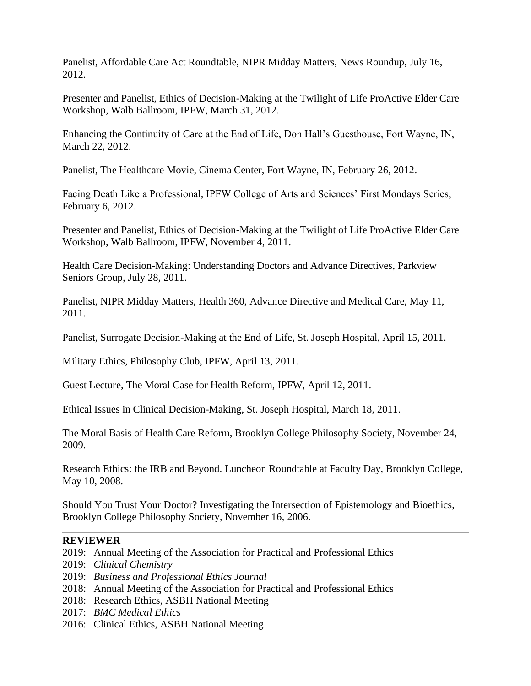Panelist, Affordable Care Act Roundtable, NIPR Midday Matters, News Roundup, July 16, 2012.

Presenter and Panelist, Ethics of Decision-Making at the Twilight of Life ProActive Elder Care Workshop, Walb Ballroom, IPFW, March 31, 2012.

Enhancing the Continuity of Care at the End of Life, Don Hall's Guesthouse, Fort Wayne, IN, March 22, 2012.

Panelist, The Healthcare Movie, Cinema Center, Fort Wayne, IN, February 26, 2012.

Facing Death Like a Professional, IPFW College of Arts and Sciences' First Mondays Series, February 6, 2012.

Presenter and Panelist, Ethics of Decision-Making at the Twilight of Life ProActive Elder Care Workshop, Walb Ballroom, IPFW, November 4, 2011.

Health Care Decision-Making: Understanding Doctors and Advance Directives, Parkview Seniors Group, July 28, 2011.

Panelist, NIPR Midday Matters, Health 360, Advance Directive and Medical Care, May 11, 2011.

Panelist, Surrogate Decision-Making at the End of Life, St. Joseph Hospital, April 15, 2011.

Military Ethics, Philosophy Club, IPFW, April 13, 2011.

Guest Lecture, The Moral Case for Health Reform, IPFW, April 12, 2011.

Ethical Issues in Clinical Decision-Making, St. Joseph Hospital, March 18, 2011.

The Moral Basis of Health Care Reform, Brooklyn College Philosophy Society, November 24, 2009.

Research Ethics: the IRB and Beyond. Luncheon Roundtable at Faculty Day, Brooklyn College, May 10, 2008.

Should You Trust Your Doctor? Investigating the Intersection of Epistemology and Bioethics, Brooklyn College Philosophy Society, November 16, 2006.

## **REVIEWER**

- 2019: Annual Meeting of the Association for Practical and Professional Ethics
- 2019: *Clinical Chemistry*
- 2019: *Business and Professional Ethics Journal*
- 2018: Annual Meeting of the Association for Practical and Professional Ethics
- 2018: Research Ethics, ASBH National Meeting
- 2017: *BMC Medical Ethics*
- 2016: Clinical Ethics, ASBH National Meeting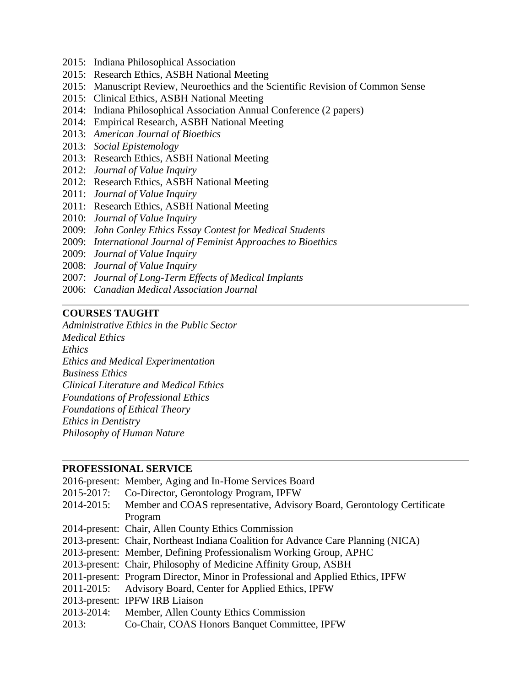- 2015: Indiana Philosophical Association
- 2015: Research Ethics, ASBH National Meeting
- 2015: Manuscript Review, Neuroethics and the Scientific Revision of Common Sense
- 2015: Clinical Ethics, ASBH National Meeting
- 2014: Indiana Philosophical Association Annual Conference (2 papers)
- 2014: Empirical Research, ASBH National Meeting
- 2013: *American Journal of Bioethics*
- 2013: *Social Epistemology*
- 2013: Research Ethics, ASBH National Meeting
- 2012: *Journal of Value Inquiry*
- 2012: Research Ethics, ASBH National Meeting
- 2011: *Journal of Value Inquiry*
- 2011: Research Ethics, ASBH National Meeting
- 2010: *Journal of Value Inquiry*
- 2009: *John Conley Ethics Essay Contest for Medical Students*
- 2009: *International Journal of Feminist Approaches to Bioethics*
- 2009: *Journal of Value Inquiry*
- 2008: *Journal of Value Inquiry*
- 2007: *Journal of Long-Term Effects of Medical Implants*
- 2006: *Canadian Medical Association Journal*

# **COURSES TAUGHT**

*Administrative Ethics in the Public Sector Medical Ethics Ethics Ethics and Medical Experimentation Business Ethics Clinical Literature and Medical Ethics Foundations of Professional Ethics Foundations of Ethical Theory Ethics in Dentistry Philosophy of Human Nature*

## **PROFESSIONAL SERVICE**

|            | 2016-present: Member, Aging and In-Home Services Board                            |
|------------|-----------------------------------------------------------------------------------|
| 2015-2017: | Co-Director, Gerontology Program, IPFW                                            |
| 2014-2015: | Member and COAS representative, Advisory Board, Gerontology Certificate           |
|            | Program                                                                           |
|            | 2014-present: Chair, Allen County Ethics Commission                               |
|            | 2013-present: Chair, Northeast Indiana Coalition for Advance Care Planning (NICA) |
|            | 2013-present: Member, Defining Professionalism Working Group, APHC                |
|            | 2013-present: Chair, Philosophy of Medicine Affinity Group, ASBH                  |
|            | 2011-present: Program Director, Minor in Professional and Applied Ethics, IPFW    |
| 2011-2015: | Advisory Board, Center for Applied Ethics, IPFW                                   |
|            | 2013-present: IPFW IRB Liaison                                                    |
| 2013-2014: | Member, Allen County Ethics Commission                                            |
| 2013:      | Co-Chair, COAS Honors Banquet Committee, IPFW                                     |